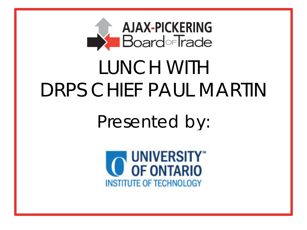

# DRPS CHIEF PAUL MARTIN LUNCH WITH

Presented by:

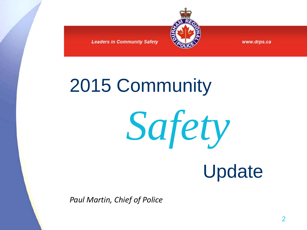

www.drps.ca

# 2015 Community

*Safety*

# Update

*Paul Martin, Chief of Police*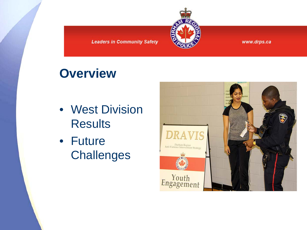

www.drps.ca

#### **Overview**

- West Division **Results**
- Future **Challenges**

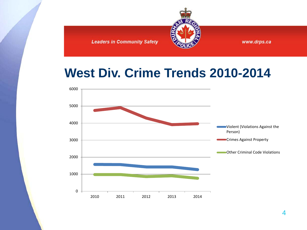

#### **West Div. Crime Trends 2010-2014**

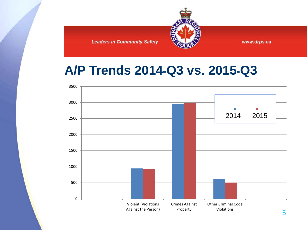

#### **A/P Trends 2014-Q3 vs. 2015-Q3**

**Leaders in Community Safety** 

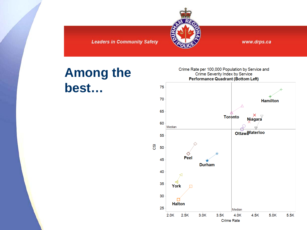

www.drps.ca

#### **Among the** best...

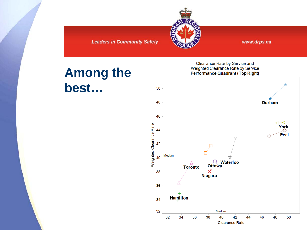

www.drps.ca

#### **Among the** best...

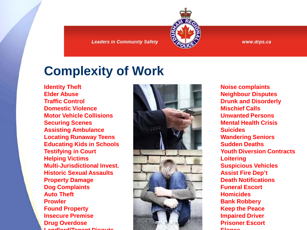

## **Complexity of Work**

**Identity Theft Elder Abuse Traffic Control Domestic Violence Motor Vehicle Collisions Securing Scenes Assisting Ambulance Locating Runaway Teens Educating Kids in Schools Testifying in Court Helping Victims Multi-Jurisdictional Invest. Historic Sexual Assaults Property Damage Dog Complaints Auto Theft Prowler Found Property Insecure Premise Drug Overdose Landlord/Tenant Dispute** 



**Noise complaints Neighbour Disputes Drunk and Disorderly Mischief Calls Unwanted Persons Mental Health Crisis Suicides Wandering Seniors Sudden Deaths Youth Diversion Contracts Loitering Suspicious Vehicles Assist Fire Dep't Death Notifications Funeral Escort Homicides Bank Robbery Keep the Peace Impaired Driver Prisoner Escort Elopee**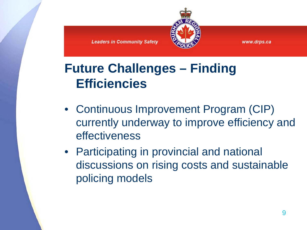

## **Future Challenges – Finding Efficiencies**

**Leaders in Community Safety** 

- Continuous Improvement Program (CIP) currently underway to improve efficiency and effectiveness
- Participating in provincial and national discussions on rising costs and sustainable policing models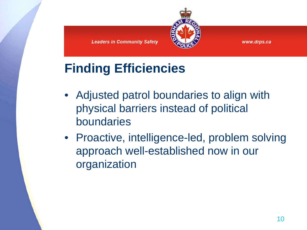



# **Finding Efficiencies**

- Adjusted patrol boundaries to align with physical barriers instead of political boundaries
- Proactive, intelligence-led, problem solving approach well-established now in our organization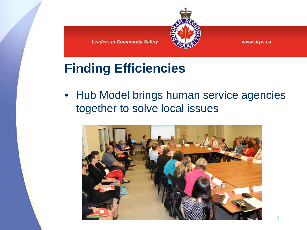



## **Finding Efficiencies**

• Hub Model brings human service agencies together to solve local issues

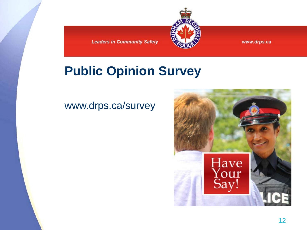

#### www.drps.ca

#### **Public Opinion Survey**